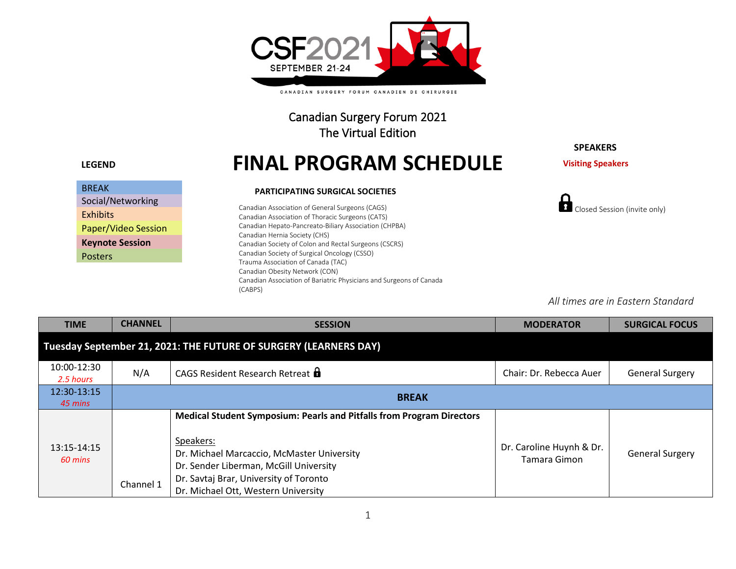

CANADIAN SURGERY FORUM CANADIEN DE CHIRURGIE

Canadian Surgery Forum 2021 The Virtual Edition

| <b>BREAK</b>               |
|----------------------------|
| Social/Networking          |
| <b>Exhibits</b>            |
| <b>Paper/Video Session</b> |
| <b>Keynote Session</b>     |
| Posters                    |
|                            |

# **LEGEND FINAL PROGRAM SCHEDULE**

#### **PARTICIPATING SURGICAL SOCIETIES**

Canadian Association of General Surgeons (CAGS) Canadian Association of Thoracic Surgeons (CATS) Canadian Hepato-Pancreato-Biliary Association (CHPBA) Canadian Hernia Society (CHS) Canadian Society of Colon and Rectal Surgeons (CSCRS) Canadian Society of Surgical Oncology (CSSO) Trauma Association of Canada (TAC) Canadian Obesity Network (CON) Canadian Association of Bariatric Physicians and Surgeons of Canada (CABPS)

### **SPEAKERS**

**Visiting Speakers**



*All times are in Eastern Standard* 

| <b>TIME</b>              | <b>CHANNEL</b> | <b>SESSION</b>                                                                                                                                                                                                                                              | <b>MODERATOR</b>                         | <b>SURGICAL FOCUS</b>  |
|--------------------------|----------------|-------------------------------------------------------------------------------------------------------------------------------------------------------------------------------------------------------------------------------------------------------------|------------------------------------------|------------------------|
|                          |                | Tuesday September 21, 2021: THE FUTURE OF SURGERY (LEARNERS DAY)                                                                                                                                                                                            |                                          |                        |
| 10:00-12:30<br>2.5 hours | N/A            | CAGS Resident Research Retreat <b>a</b>                                                                                                                                                                                                                     | Chair: Dr. Rebecca Auer                  | <b>General Surgery</b> |
| 12:30-13:15<br>45 mins   |                | <b>BREAK</b>                                                                                                                                                                                                                                                |                                          |                        |
| 13:15-14:15<br>60 mins   | Channel 1      | Medical Student Symposium: Pearls and Pitfalls from Program Directors<br>Speakers:<br>Dr. Michael Marcaccio, McMaster University<br>Dr. Sender Liberman, McGill University<br>Dr. Savtaj Brar, University of Toronto<br>Dr. Michael Ott, Western University | Dr. Caroline Huynh & Dr.<br>Tamara Gimon | <b>General Surgery</b> |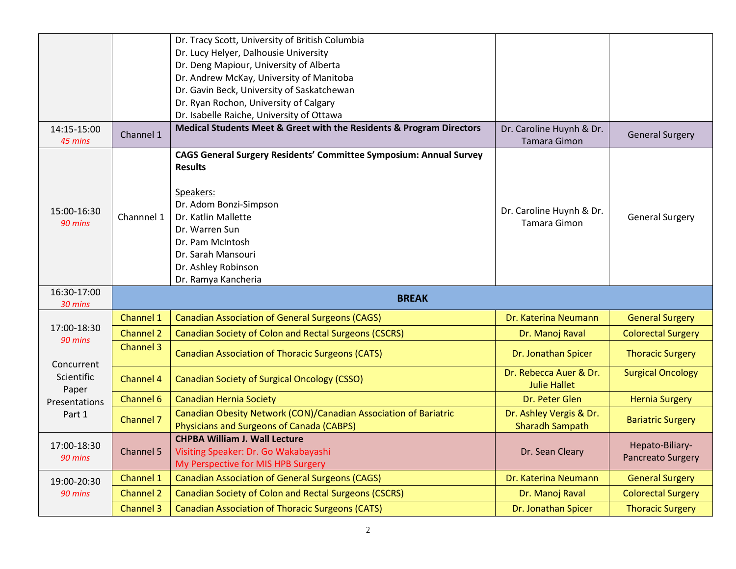|                          |                  | Dr. Tracy Scott, University of British Columbia<br>Dr. Lucy Helyer, Dalhousie University                                                                             |                                                   |                                      |
|--------------------------|------------------|----------------------------------------------------------------------------------------------------------------------------------------------------------------------|---------------------------------------------------|--------------------------------------|
|                          |                  | Dr. Deng Mapiour, University of Alberta                                                                                                                              |                                                   |                                      |
|                          |                  | Dr. Andrew McKay, University of Manitoba                                                                                                                             |                                                   |                                      |
|                          |                  | Dr. Gavin Beck, University of Saskatchewan                                                                                                                           |                                                   |                                      |
|                          |                  | Dr. Ryan Rochon, University of Calgary                                                                                                                               |                                                   |                                      |
|                          |                  | Dr. Isabelle Raiche, University of Ottawa                                                                                                                            |                                                   |                                      |
| 14:15-15:00<br>45 mins   | Channel 1        | Medical Students Meet & Greet with the Residents & Program Directors                                                                                                 | Dr. Caroline Huynh & Dr.<br><b>Tamara Gimon</b>   | <b>General Surgery</b>               |
|                          |                  | <b>CAGS General Surgery Residents' Committee Symposium: Annual Survey</b><br><b>Results</b>                                                                          |                                                   |                                      |
| 15:00-16:30<br>90 mins   | Channnel 1       | Speakers:<br>Dr. Adom Bonzi-Simpson<br>Dr. Katlin Mallette<br>Dr. Warren Sun<br>Dr. Pam McIntosh<br>Dr. Sarah Mansouri<br>Dr. Ashley Robinson<br>Dr. Ramya Kancheria | Dr. Caroline Huynh & Dr.<br>Tamara Gimon          | <b>General Surgery</b>               |
| 16:30-17:00<br>30 mins   |                  | <b>BREAK</b>                                                                                                                                                         |                                                   |                                      |
|                          |                  |                                                                                                                                                                      |                                                   |                                      |
|                          | Channel 1        | <b>Canadian Association of General Surgeons (CAGS)</b>                                                                                                               | Dr. Katerina Neumann                              | <b>General Surgery</b>               |
| 17:00-18:30              | <b>Channel 2</b> | <b>Canadian Society of Colon and Rectal Surgeons (CSCRS)</b>                                                                                                         | Dr. Manoj Raval                                   | <b>Colorectal Surgery</b>            |
| 90 mins                  | Channel 3        | <b>Canadian Association of Thoracic Surgeons (CATS)</b>                                                                                                              | Dr. Jonathan Spicer                               | <b>Thoracic Surgery</b>              |
| Concurrent<br>Scientific | Channel 4        | <b>Canadian Society of Surgical Oncology (CSSO)</b>                                                                                                                  | Dr. Rebecca Auer & Dr.<br><b>Julie Hallet</b>     | <b>Surgical Oncology</b>             |
| Paper<br>Presentations   | <b>Channel 6</b> | <b>Canadian Hernia Society</b>                                                                                                                                       | Dr. Peter Glen                                    | <b>Hernia Surgery</b>                |
| Part 1                   | Channel 7        | Canadian Obesity Network (CON)/Canadian Association of Bariatric<br><b>Physicians and Surgeons of Canada (CABPS)</b>                                                 | Dr. Ashley Vergis & Dr.<br><b>Sharadh Sampath</b> | <b>Bariatric Surgery</b>             |
| 17:00-18:30<br>90 mins   | Channel 5        | <b>CHPBA William J. Wall Lecture</b><br>Visiting Speaker: Dr. Go Wakabayashi<br>My Perspective for MIS HPB Surgery                                                   | Dr. Sean Cleary                                   | Hepato-Biliary-<br>Pancreato Surgery |
| 19:00-20:30              | Channel 1        | <b>Canadian Association of General Surgeons (CAGS)</b>                                                                                                               | Dr. Katerina Neumann                              | <b>General Surgery</b>               |
| 90 mins                  | <b>Channel 2</b> | <b>Canadian Society of Colon and Rectal Surgeons (CSCRS)</b>                                                                                                         | Dr. Manoj Raval                                   | <b>Colorectal Surgery</b>            |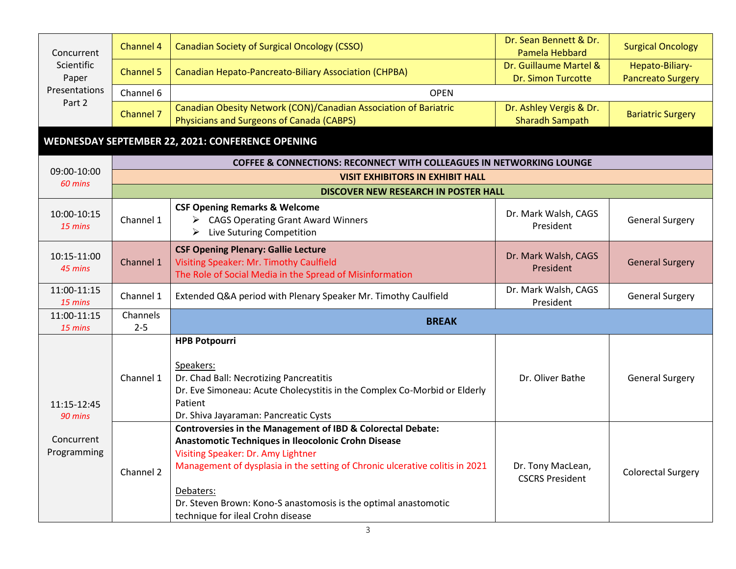| Concurrent          | Channel 4 | <b>Canadian Society of Surgical Oncology (CSSO)</b>                                                           | Dr. Sean Bennett & Dr.<br>Pamela Hebbard            | <b>Surgical Oncology</b>                    |
|---------------------|-----------|---------------------------------------------------------------------------------------------------------------|-----------------------------------------------------|---------------------------------------------|
| Scientific<br>Paper | Channel 5 | Canadian Hepato-Pancreato-Biliary Association (CHPBA)                                                         | Dr. Guillaume Martel &<br><b>Dr. Simon Turcotte</b> | Hepato-Biliary-<br><b>Pancreato Surgery</b> |
| Presentations       | Channel 6 | <b>OPEN</b>                                                                                                   |                                                     |                                             |
| Part 2              | Channel 7 | Canadian Obesity Network (CON)/Canadian Association of Bariatric<br>Physicians and Surgeons of Canada (CABPS) | Dr. Ashley Vergis & Dr.<br><b>Sharadh Sampath</b>   | <b>Bariatric Surgery</b>                    |

## **WEDNESDAY SEPTEMBER 22, 2021: CONFERENCE OPENING**

|                                  | <b>COFFEE &amp; CONNECTIONS: RECONNECT WITH COLLEAGUES IN NETWORKING LOUNGE</b>        |                                                                                                                                                                                                                                                                                                                                                                          |                                             |                           |  |
|----------------------------------|----------------------------------------------------------------------------------------|--------------------------------------------------------------------------------------------------------------------------------------------------------------------------------------------------------------------------------------------------------------------------------------------------------------------------------------------------------------------------|---------------------------------------------|---------------------------|--|
| 09:00-10:00<br>60 mins           | <b>VISIT EXHIBITORS IN EXHIBIT HALL</b><br><b>DISCOVER NEW RESEARCH IN POSTER HALL</b> |                                                                                                                                                                                                                                                                                                                                                                          |                                             |                           |  |
|                                  |                                                                                        |                                                                                                                                                                                                                                                                                                                                                                          |                                             |                           |  |
| 10:00-10:15<br>$15 \text{ mins}$ | Channel 1                                                                              | <b>CSF Opening Remarks &amp; Welcome</b><br><b>CAGS Operating Grant Award Winners</b><br>➤<br>Live Suturing Competition<br>➤                                                                                                                                                                                                                                             | Dr. Mark Walsh, CAGS<br>President           | <b>General Surgery</b>    |  |
| 10:15-11:00<br>45 mins           | Channel 1                                                                              | <b>CSF Opening Plenary: Gallie Lecture</b><br>Visiting Speaker: Mr. Timothy Caulfield<br>The Role of Social Media in the Spread of Misinformation                                                                                                                                                                                                                        | Dr. Mark Walsh, CAGS<br>President           | <b>General Surgery</b>    |  |
| 11:00-11:15<br>$15 \text{ mins}$ | Channel 1                                                                              | Extended Q&A period with Plenary Speaker Mr. Timothy Caulfield                                                                                                                                                                                                                                                                                                           | Dr. Mark Walsh, CAGS<br>President           | <b>General Surgery</b>    |  |
| 11:00-11:15                      | Channels                                                                               | <b>BREAK</b>                                                                                                                                                                                                                                                                                                                                                             |                                             |                           |  |
| 15 mins                          | $2 - 5$                                                                                |                                                                                                                                                                                                                                                                                                                                                                          |                                             |                           |  |
| 11:15-12:45<br>90 mins           | Channel 1                                                                              | <b>HPB Potpourri</b><br>Speakers:<br>Dr. Chad Ball: Necrotizing Pancreatitis<br>Dr. Eve Simoneau: Acute Cholecystitis in the Complex Co-Morbid or Elderly<br>Patient<br>Dr. Shiva Jayaraman: Pancreatic Cysts                                                                                                                                                            | Dr. Oliver Bathe                            | <b>General Surgery</b>    |  |
| Concurrent<br>Programming        | Channel 2                                                                              | <b>Controversies in the Management of IBD &amp; Colorectal Debate:</b><br>Anastomotic Techniques in Ileocolonic Crohn Disease<br>Visiting Speaker: Dr. Amy Lightner<br>Management of dysplasia in the setting of Chronic ulcerative colitis in 2021<br>Debaters:<br>Dr. Steven Brown: Kono-S anastomosis is the optimal anastomotic<br>technique for ileal Crohn disease | Dr. Tony MacLean,<br><b>CSCRS President</b> | <b>Colorectal Surgery</b> |  |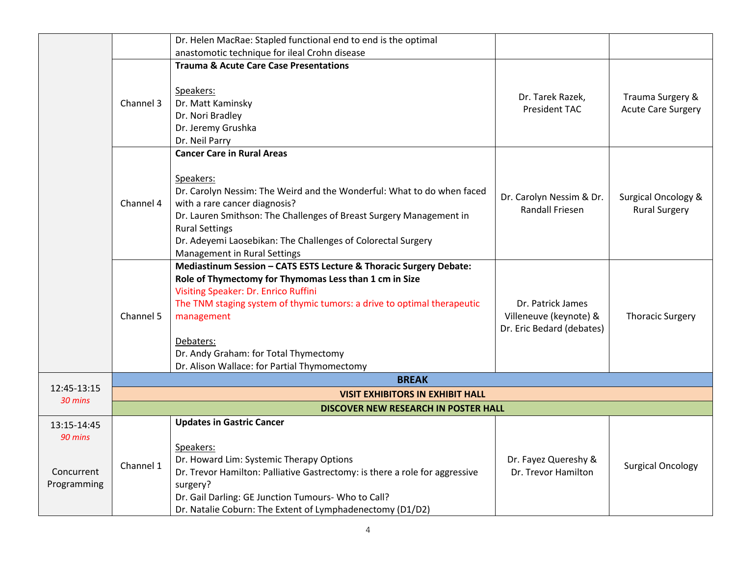|                                                     |                                         | Dr. Helen MacRae: Stapled functional end to end is the optimal                                                                                                                                                                                                                                                                                                      |                                                                          |                                                        |  |  |
|-----------------------------------------------------|-----------------------------------------|---------------------------------------------------------------------------------------------------------------------------------------------------------------------------------------------------------------------------------------------------------------------------------------------------------------------------------------------------------------------|--------------------------------------------------------------------------|--------------------------------------------------------|--|--|
|                                                     |                                         | anastomotic technique for ileal Crohn disease                                                                                                                                                                                                                                                                                                                       |                                                                          |                                                        |  |  |
|                                                     |                                         | <b>Trauma &amp; Acute Care Case Presentations</b>                                                                                                                                                                                                                                                                                                                   |                                                                          |                                                        |  |  |
|                                                     | Channel 3                               | Speakers:<br>Dr. Matt Kaminsky<br>Dr. Nori Bradley<br>Dr. Jeremy Grushka<br>Dr. Neil Parry                                                                                                                                                                                                                                                                          | Dr. Tarek Razek,<br><b>President TAC</b>                                 | Trauma Surgery &<br><b>Acute Care Surgery</b>          |  |  |
|                                                     |                                         | <b>Cancer Care in Rural Areas</b>                                                                                                                                                                                                                                                                                                                                   |                                                                          |                                                        |  |  |
|                                                     | Channel 4                               | Speakers:<br>Dr. Carolyn Nessim: The Weird and the Wonderful: What to do when faced<br>with a rare cancer diagnosis?<br>Dr. Lauren Smithson: The Challenges of Breast Surgery Management in<br><b>Rural Settings</b><br>Dr. Adeyemi Laosebikan: The Challenges of Colorectal Surgery<br><b>Management in Rural Settings</b>                                         | Dr. Carolyn Nessim & Dr.<br><b>Randall Friesen</b>                       | <b>Surgical Oncology &amp;</b><br><b>Rural Surgery</b> |  |  |
|                                                     | Channel 5                               | Mediastinum Session - CATS ESTS Lecture & Thoracic Surgery Debate:<br>Role of Thymectomy for Thymomas Less than 1 cm in Size<br>Visiting Speaker: Dr. Enrico Ruffini<br>The TNM staging system of thymic tumors: a drive to optimal therapeutic<br>management<br>Debaters:<br>Dr. Andy Graham: for Total Thymectomy<br>Dr. Alison Wallace: for Partial Thymomectomy | Dr. Patrick James<br>Villeneuve (keynote) &<br>Dr. Eric Bedard (debates) | <b>Thoracic Surgery</b>                                |  |  |
|                                                     |                                         | <b>BREAK</b>                                                                                                                                                                                                                                                                                                                                                        |                                                                          |                                                        |  |  |
| 12:45-13:15                                         | <b>VISIT EXHIBITORS IN EXHIBIT HALL</b> |                                                                                                                                                                                                                                                                                                                                                                     |                                                                          |                                                        |  |  |
| 30 mins                                             |                                         | DISCOVER NEW RESEARCH IN POSTER HALL                                                                                                                                                                                                                                                                                                                                |                                                                          |                                                        |  |  |
| 13:15-14:45<br>90 mins<br>Concurrent<br>Programming | Channel 1                               | <b>Updates in Gastric Cancer</b><br>Speakers:<br>Dr. Howard Lim: Systemic Therapy Options<br>Dr. Trevor Hamilton: Palliative Gastrectomy: is there a role for aggressive<br>surgery?<br>Dr. Gail Darling: GE Junction Tumours- Who to Call?                                                                                                                         | Dr. Fayez Quereshy &<br>Dr. Trevor Hamilton                              | <b>Surgical Oncology</b>                               |  |  |
|                                                     |                                         | Dr. Natalie Coburn: The Extent of Lymphadenectomy (D1/D2)                                                                                                                                                                                                                                                                                                           |                                                                          |                                                        |  |  |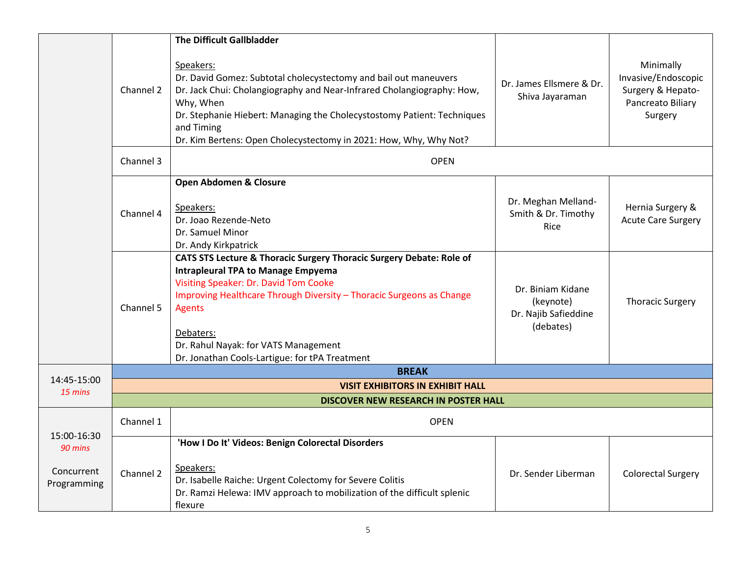|                           |           | <b>The Difficult Gallbladder</b>                                                                                                                                                                                                                                                                                                                           |                                                                     |                                                                                       |
|---------------------------|-----------|------------------------------------------------------------------------------------------------------------------------------------------------------------------------------------------------------------------------------------------------------------------------------------------------------------------------------------------------------------|---------------------------------------------------------------------|---------------------------------------------------------------------------------------|
|                           | Channel 2 | Speakers:<br>Dr. David Gomez: Subtotal cholecystectomy and bail out maneuvers<br>Dr. Jack Chui: Cholangiography and Near-Infrared Cholangiography: How,<br>Why, When<br>Dr. Stephanie Hiebert: Managing the Cholecystostomy Patient: Techniques<br>and Timing<br>Dr. Kim Bertens: Open Cholecystectomy in 2021: How, Why, Why Not?                         | Dr. James Ellsmere & Dr.<br>Shiva Jayaraman                         | Minimally<br>Invasive/Endoscopic<br>Surgery & Hepato-<br>Pancreato Biliary<br>Surgery |
|                           | Channel 3 | <b>OPEN</b>                                                                                                                                                                                                                                                                                                                                                |                                                                     |                                                                                       |
|                           |           | Open Abdomen & Closure                                                                                                                                                                                                                                                                                                                                     |                                                                     |                                                                                       |
|                           | Channel 4 | Speakers:<br>Dr. Joao Rezende-Neto<br>Dr. Samuel Minor<br>Dr. Andy Kirkpatrick                                                                                                                                                                                                                                                                             | Dr. Meghan Melland-<br>Smith & Dr. Timothy<br>Rice                  | Hernia Surgery &<br><b>Acute Care Surgery</b>                                         |
|                           | Channel 5 | CATS STS Lecture & Thoracic Surgery Thoracic Surgery Debate: Role of<br><b>Intrapleural TPA to Manage Empyema</b><br>Visiting Speaker: Dr. David Tom Cooke<br>Improving Healthcare Through Diversity - Thoracic Surgeons as Change<br><b>Agents</b><br>Debaters:<br>Dr. Rahul Nayak: for VATS Management<br>Dr. Jonathan Cools-Lartigue: for tPA Treatment | Dr. Biniam Kidane<br>(keynote)<br>Dr. Najib Safieddine<br>(debates) | <b>Thoracic Surgery</b>                                                               |
|                           |           | <b>BREAK</b>                                                                                                                                                                                                                                                                                                                                               |                                                                     |                                                                                       |
| 14:45-15:00<br>15 mins    |           | <b>VISIT EXHIBITORS IN EXHIBIT HALL</b>                                                                                                                                                                                                                                                                                                                    |                                                                     |                                                                                       |
|                           |           | DISCOVER NEW RESEARCH IN POSTER HALL                                                                                                                                                                                                                                                                                                                       |                                                                     |                                                                                       |
|                           | Channel 1 | <b>OPEN</b>                                                                                                                                                                                                                                                                                                                                                |                                                                     |                                                                                       |
| 15:00-16:30<br>90 mins    |           | 'How I Do It' Videos: Benign Colorectal Disorders                                                                                                                                                                                                                                                                                                          |                                                                     |                                                                                       |
| Concurrent<br>Programming | Channel 2 | Speakers:<br>Dr. Isabelle Raiche: Urgent Colectomy for Severe Colitis<br>Dr. Ramzi Helewa: IMV approach to mobilization of the difficult splenic<br>flexure                                                                                                                                                                                                | Dr. Sender Liberman                                                 | <b>Colorectal Surgery</b>                                                             |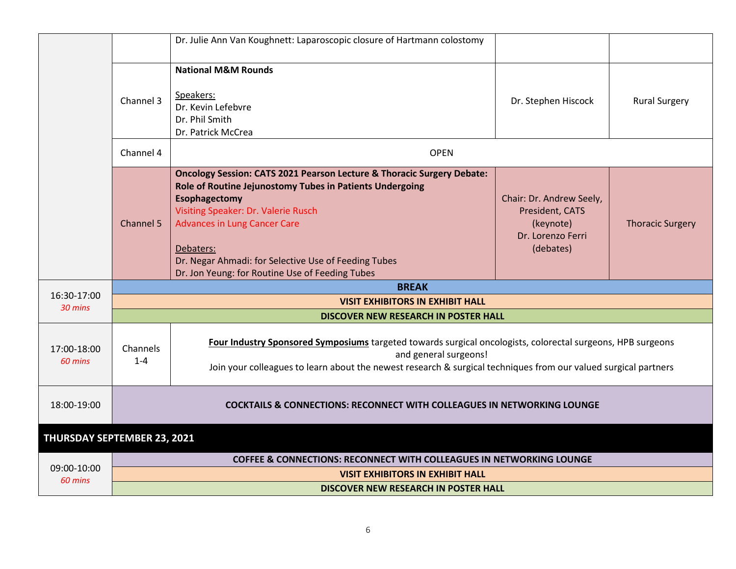|                             |                                                                                    | Dr. Julie Ann Van Koughnett: Laparoscopic closure of Hartmann colostomy                                                                                                                                                                                                                                                                                              |                                                                                            |                         |  |
|-----------------------------|------------------------------------------------------------------------------------|----------------------------------------------------------------------------------------------------------------------------------------------------------------------------------------------------------------------------------------------------------------------------------------------------------------------------------------------------------------------|--------------------------------------------------------------------------------------------|-------------------------|--|
|                             | Channel 3                                                                          | <b>National M&amp;M Rounds</b><br>Speakers:<br>Dr. Kevin Lefebvre<br>Dr. Phil Smith<br>Dr. Patrick McCrea                                                                                                                                                                                                                                                            | Dr. Stephen Hiscock                                                                        | <b>Rural Surgery</b>    |  |
|                             | Channel 4                                                                          | <b>OPEN</b>                                                                                                                                                                                                                                                                                                                                                          |                                                                                            |                         |  |
|                             | <b>Channel 5</b>                                                                   | <b>Oncology Session: CATS 2021 Pearson Lecture &amp; Thoracic Surgery Debate:</b><br>Role of Routine Jejunostomy Tubes in Patients Undergoing<br>Esophagectomy<br>Visiting Speaker: Dr. Valerie Rusch<br><b>Advances in Lung Cancer Care</b><br>Debaters:<br>Dr. Negar Ahmadi: for Selective Use of Feeding Tubes<br>Dr. Jon Yeung: for Routine Use of Feeding Tubes | Chair: Dr. Andrew Seely,<br>President, CATS<br>(keynote)<br>Dr. Lorenzo Ferri<br>(debates) | <b>Thoracic Surgery</b> |  |
| 16:30-17:00                 |                                                                                    | <b>BREAK</b>                                                                                                                                                                                                                                                                                                                                                         |                                                                                            |                         |  |
| 30 mins                     | <b>VISIT EXHIBITORS IN EXHIBIT HALL</b>                                            |                                                                                                                                                                                                                                                                                                                                                                      |                                                                                            |                         |  |
|                             |                                                                                    | DISCOVER NEW RESEARCH IN POSTER HALL                                                                                                                                                                                                                                                                                                                                 |                                                                                            |                         |  |
| 17:00-18:00<br>60 mins      | Channels<br>$1 - 4$                                                                | Four Industry Sponsored Symposiums targeted towards surgical oncologists, colorectal surgeons, HPB surgeons<br>and general surgeons!<br>Join your colleagues to learn about the newest research & surgical techniques from our valued surgical partners                                                                                                              |                                                                                            |                         |  |
| 18:00-19:00                 | <b>COCKTAILS &amp; CONNECTIONS: RECONNECT WITH COLLEAGUES IN NETWORKING LOUNGE</b> |                                                                                                                                                                                                                                                                                                                                                                      |                                                                                            |                         |  |
| THURSDAY SEPTEMBER 23, 2021 |                                                                                    |                                                                                                                                                                                                                                                                                                                                                                      |                                                                                            |                         |  |
|                             |                                                                                    | <b>COFFEE &amp; CONNECTIONS: RECONNECT WITH COLLEAGUES IN NETWORKING LOUNGE</b>                                                                                                                                                                                                                                                                                      |                                                                                            |                         |  |
| 09:00-10:00                 |                                                                                    | VICIT CVILIDITODE IN EVILIDIT ITALI                                                                                                                                                                                                                                                                                                                                  |                                                                                            |                         |  |

## **DISCOVER NEW RESEARCH IN POSTER HALL**

*60 mins*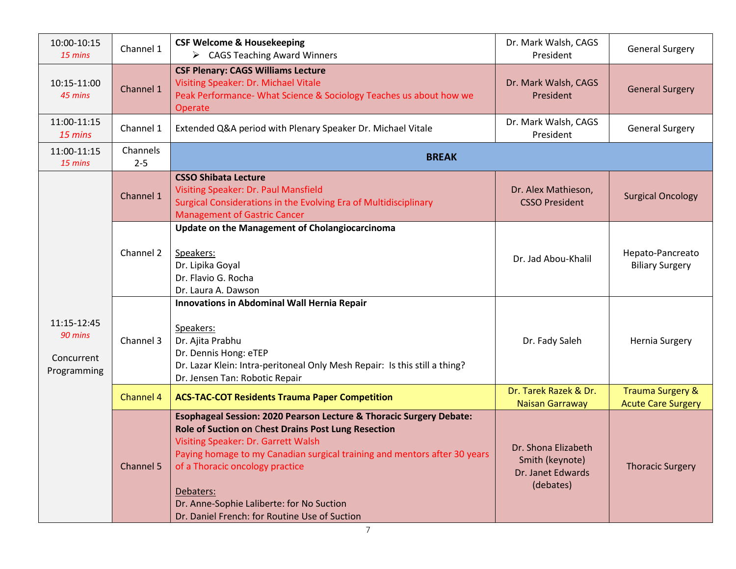| 10:00-10:15<br>15 mins                              | Channel 1           | <b>CSF Welcome &amp; Housekeeping</b><br>$\triangleright$ CAGS Teaching Award Winners                                                                                                                                                                                                                                                                                                        | Dr. Mark Walsh, CAGS<br>President                                        | <b>General Surgery</b>                                   |
|-----------------------------------------------------|---------------------|----------------------------------------------------------------------------------------------------------------------------------------------------------------------------------------------------------------------------------------------------------------------------------------------------------------------------------------------------------------------------------------------|--------------------------------------------------------------------------|----------------------------------------------------------|
| 10:15-11:00<br>45 mins                              | Channel 1           | <b>CSF Plenary: CAGS Williams Lecture</b><br>Visiting Speaker: Dr. Michael Vitale<br>Peak Performance- What Science & Sociology Teaches us about how we<br>Operate                                                                                                                                                                                                                           | Dr. Mark Walsh, CAGS<br>President                                        | <b>General Surgery</b>                                   |
| 11:00-11:15<br>15 mins                              | Channel 1           | Extended Q&A period with Plenary Speaker Dr. Michael Vitale                                                                                                                                                                                                                                                                                                                                  | Dr. Mark Walsh, CAGS<br>President                                        | <b>General Surgery</b>                                   |
| 11:00-11:15<br>15 mins                              | Channels<br>$2 - 5$ | <b>BREAK</b>                                                                                                                                                                                                                                                                                                                                                                                 |                                                                          |                                                          |
|                                                     | Channel 1           | <b>CSSO Shibata Lecture</b><br>Visiting Speaker: Dr. Paul Mansfield<br>Surgical Considerations in the Evolving Era of Multidisciplinary<br><b>Management of Gastric Cancer</b>                                                                                                                                                                                                               | Dr. Alex Mathieson,<br><b>CSSO President</b>                             | <b>Surgical Oncology</b>                                 |
|                                                     | Channel 2           | <b>Update on the Management of Cholangiocarcinoma</b><br>Speakers:<br>Dr. Lipika Goyal<br>Dr. Flavio G. Rocha<br>Dr. Laura A. Dawson                                                                                                                                                                                                                                                         | Dr. Jad Abou-Khalil                                                      | Hepato-Pancreato<br><b>Biliary Surgery</b>               |
| 11:15-12:45<br>90 mins<br>Concurrent<br>Programming | Channel 3           | Innovations in Abdominal Wall Hernia Repair<br>Speakers:<br>Dr. Ajita Prabhu<br>Dr. Dennis Hong: eTEP<br>Dr. Lazar Klein: Intra-peritoneal Only Mesh Repair: Is this still a thing?<br>Dr. Jensen Tan: Robotic Repair                                                                                                                                                                        | Dr. Fady Saleh                                                           | Hernia Surgery                                           |
|                                                     | Channel 4           | <b>ACS-TAC-COT Residents Trauma Paper Competition</b>                                                                                                                                                                                                                                                                                                                                        | Dr. Tarek Razek & Dr.<br><b>Naisan Garraway</b>                          | <b>Trauma Surgery &amp;</b><br><b>Acute Care Surgery</b> |
|                                                     | Channel 5           | Esophageal Session: 2020 Pearson Lecture & Thoracic Surgery Debate:<br>Role of Suction on Chest Drains Post Lung Resection<br>Visiting Speaker: Dr. Garrett Walsh<br>Paying homage to my Canadian surgical training and mentors after 30 years<br>of a Thoracic oncology practice<br>Debaters:<br>Dr. Anne-Sophie Laliberte: for No Suction<br>Dr. Daniel French: for Routine Use of Suction | Dr. Shona Elizabeth<br>Smith (keynote)<br>Dr. Janet Edwards<br>(debates) | <b>Thoracic Surgery</b>                                  |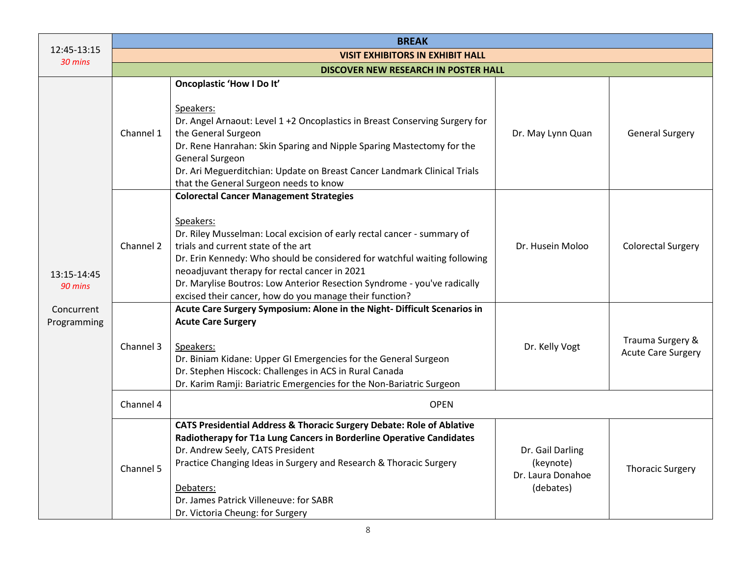|                                                     | <b>BREAK</b>                            |                                                                                                                                                                                                                                                                                                                                                                                                                                                                                              |                                                                 |                                               |  |
|-----------------------------------------------------|-----------------------------------------|----------------------------------------------------------------------------------------------------------------------------------------------------------------------------------------------------------------------------------------------------------------------------------------------------------------------------------------------------------------------------------------------------------------------------------------------------------------------------------------------|-----------------------------------------------------------------|-----------------------------------------------|--|
| 12:45-13:15<br>30 mins                              | <b>VISIT EXHIBITORS IN EXHIBIT HALL</b> |                                                                                                                                                                                                                                                                                                                                                                                                                                                                                              |                                                                 |                                               |  |
|                                                     | DISCOVER NEW RESEARCH IN POSTER HALL    |                                                                                                                                                                                                                                                                                                                                                                                                                                                                                              |                                                                 |                                               |  |
|                                                     | Channel 1                               | <b>Oncoplastic 'How I Do It'</b><br>Speakers:<br>Dr. Angel Arnaout: Level 1 +2 Oncoplastics in Breast Conserving Surgery for<br>the General Surgeon<br>Dr. Rene Hanrahan: Skin Sparing and Nipple Sparing Mastectomy for the<br>General Surgeon<br>Dr. Ari Meguerditchian: Update on Breast Cancer Landmark Clinical Trials                                                                                                                                                                  | Dr. May Lynn Quan                                               | <b>General Surgery</b>                        |  |
| 13:15-14:45<br>90 mins<br>Concurrent<br>Programming | Channel 2                               | that the General Surgeon needs to know<br><b>Colorectal Cancer Management Strategies</b><br>Speakers:<br>Dr. Riley Musselman: Local excision of early rectal cancer - summary of<br>trials and current state of the art<br>Dr. Erin Kennedy: Who should be considered for watchful waiting following<br>neoadjuvant therapy for rectal cancer in 2021<br>Dr. Marylise Boutros: Low Anterior Resection Syndrome - you've radically<br>excised their cancer, how do you manage their function? | Dr. Husein Moloo                                                | <b>Colorectal Surgery</b>                     |  |
|                                                     | Channel 3                               | Acute Care Surgery Symposium: Alone in the Night-Difficult Scenarios in<br><b>Acute Care Surgery</b><br>Speakers:<br>Dr. Biniam Kidane: Upper GI Emergencies for the General Surgeon<br>Dr. Stephen Hiscock: Challenges in ACS in Rural Canada<br>Dr. Karim Ramji: Bariatric Emergencies for the Non-Bariatric Surgeon                                                                                                                                                                       | Dr. Kelly Vogt                                                  | Trauma Surgery &<br><b>Acute Care Surgery</b> |  |
|                                                     | Channel 4                               | <b>OPEN</b>                                                                                                                                                                                                                                                                                                                                                                                                                                                                                  |                                                                 |                                               |  |
|                                                     | Channel 5                               | CATS Presidential Address & Thoracic Surgery Debate: Role of Ablative<br>Radiotherapy for T1a Lung Cancers in Borderline Operative Candidates<br>Dr. Andrew Seely, CATS President<br>Practice Changing Ideas in Surgery and Research & Thoracic Surgery<br>Debaters:<br>Dr. James Patrick Villeneuve: for SABR<br>Dr. Victoria Cheung: for Surgery                                                                                                                                           | Dr. Gail Darling<br>(keynote)<br>Dr. Laura Donahoe<br>(debates) | <b>Thoracic Surgery</b>                       |  |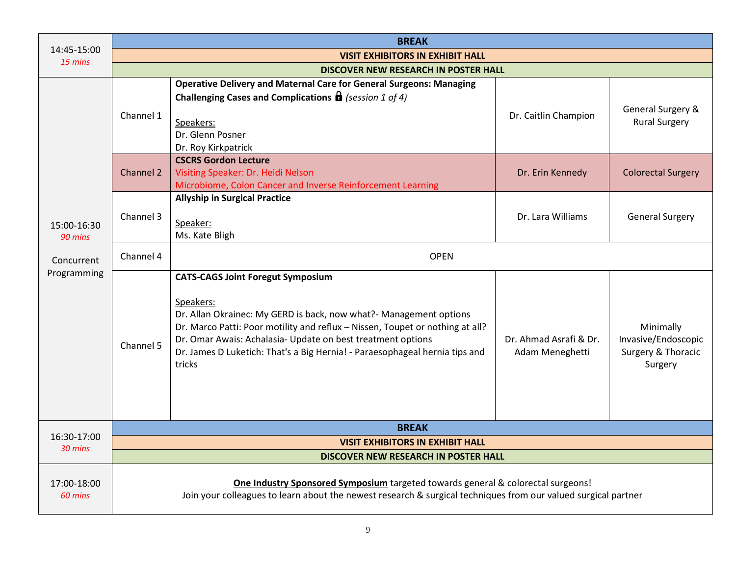|                        | <b>BREAK</b>                                                                                                                                                                                       |                                                                                                                                                                                                                                                                                                                                                                      |                                           |                                                                   |  |
|------------------------|----------------------------------------------------------------------------------------------------------------------------------------------------------------------------------------------------|----------------------------------------------------------------------------------------------------------------------------------------------------------------------------------------------------------------------------------------------------------------------------------------------------------------------------------------------------------------------|-------------------------------------------|-------------------------------------------------------------------|--|
| 14:45-15:00<br>15 mins | <b>VISIT EXHIBITORS IN EXHIBIT HALL</b>                                                                                                                                                            |                                                                                                                                                                                                                                                                                                                                                                      |                                           |                                                                   |  |
|                        |                                                                                                                                                                                                    | DISCOVER NEW RESEARCH IN POSTER HALL                                                                                                                                                                                                                                                                                                                                 |                                           |                                                                   |  |
|                        | Channel 1                                                                                                                                                                                          | <b>Operative Delivery and Maternal Care for General Surgeons: Managing</b><br><b>Challenging Cases and Complications <math>\mathbf{\Omega}</math></b> (session 1 of 4)<br>Speakers:<br>Dr. Glenn Posner<br>Dr. Roy Kirkpatrick                                                                                                                                       | Dr. Caitlin Champion                      | General Surgery &<br><b>Rural Surgery</b>                         |  |
|                        | Channel 2                                                                                                                                                                                          | <b>CSCRS Gordon Lecture</b><br>Visiting Speaker: Dr. Heidi Nelson<br>Microbiome, Colon Cancer and Inverse Reinforcement Learning                                                                                                                                                                                                                                     | Dr. Erin Kennedy                          | <b>Colorectal Surgery</b>                                         |  |
| 15:00-16:30<br>90 mins | Channel 3                                                                                                                                                                                          | <b>Allyship in Surgical Practice</b><br>Speaker:<br>Ms. Kate Bligh                                                                                                                                                                                                                                                                                                   | Dr. Lara Williams                         | <b>General Surgery</b>                                            |  |
| Concurrent             | Channel 4                                                                                                                                                                                          | <b>OPEN</b>                                                                                                                                                                                                                                                                                                                                                          |                                           |                                                                   |  |
| Programming            | Channel 5                                                                                                                                                                                          | <b>CATS-CAGS Joint Foregut Symposium</b><br>Speakers:<br>Dr. Allan Okrainec: My GERD is back, now what?- Management options<br>Dr. Marco Patti: Poor motility and reflux - Nissen, Toupet or nothing at all?<br>Dr. Omar Awais: Achalasia- Update on best treatment options<br>Dr. James D Luketich: That's a Big Hernia! - Paraesophageal hernia tips and<br>tricks | Dr. Ahmad Asrafi & Dr.<br>Adam Meneghetti | Minimally<br>Invasive/Endoscopic<br>Surgery & Thoracic<br>Surgery |  |
| 16:30-17:00            | <b>BREAK</b>                                                                                                                                                                                       |                                                                                                                                                                                                                                                                                                                                                                      |                                           |                                                                   |  |
| 30 mins                | <b>VISIT EXHIBITORS IN EXHIBIT HALL</b>                                                                                                                                                            |                                                                                                                                                                                                                                                                                                                                                                      |                                           |                                                                   |  |
|                        |                                                                                                                                                                                                    | <b>DISCOVER NEW RESEARCH IN POSTER HALL</b>                                                                                                                                                                                                                                                                                                                          |                                           |                                                                   |  |
| 17:00-18:00<br>60 mins | One Industry Sponsored Symposium targeted towards general & colorectal surgeons!<br>Join your colleagues to learn about the newest research & surgical techniques from our valued surgical partner |                                                                                                                                                                                                                                                                                                                                                                      |                                           |                                                                   |  |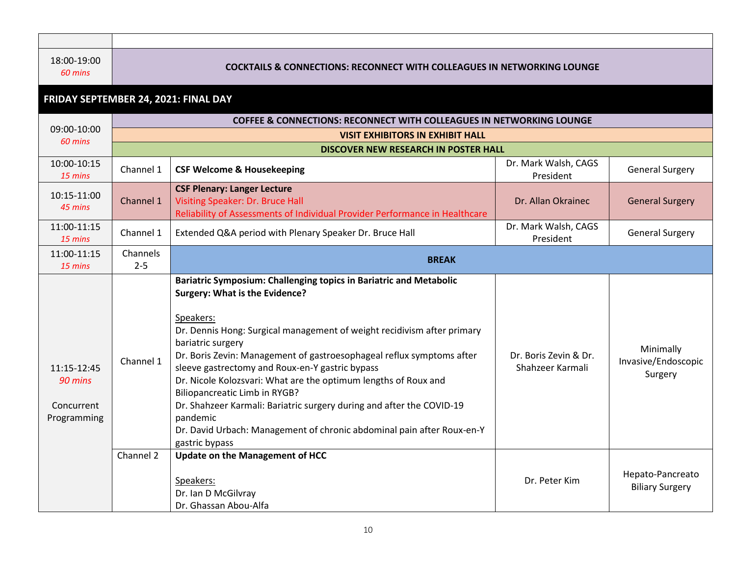## *60 mins* **COCKTAILS & CONNECTIONS: RECONNECT WITH COLLEAGUES IN NETWORKING LOUNGE**

## **FRIDAY SEPTEMBER 24, 2021: FINAL DAY**

|                                                     | <b>COFFEE &amp; CONNECTIONS: RECONNECT WITH COLLEAGUES IN NETWORKING LOUNGE</b> |                                                                                                                                                                                                                                                                                                                                                                                                                                                                                                                                                                                                                                                  |                                           |                                             |  |
|-----------------------------------------------------|---------------------------------------------------------------------------------|--------------------------------------------------------------------------------------------------------------------------------------------------------------------------------------------------------------------------------------------------------------------------------------------------------------------------------------------------------------------------------------------------------------------------------------------------------------------------------------------------------------------------------------------------------------------------------------------------------------------------------------------------|-------------------------------------------|---------------------------------------------|--|
| 09:00-10:00<br>60 mins                              | <b>VISIT EXHIBITORS IN EXHIBIT HALL</b>                                         |                                                                                                                                                                                                                                                                                                                                                                                                                                                                                                                                                                                                                                                  |                                           |                                             |  |
|                                                     |                                                                                 | <b>DISCOVER NEW RESEARCH IN POSTER HALL</b>                                                                                                                                                                                                                                                                                                                                                                                                                                                                                                                                                                                                      |                                           |                                             |  |
| 10:00-10:15<br>15 mins                              | Channel 1                                                                       | <b>CSF Welcome &amp; Housekeeping</b>                                                                                                                                                                                                                                                                                                                                                                                                                                                                                                                                                                                                            | Dr. Mark Walsh, CAGS<br>President         | <b>General Surgery</b>                      |  |
| 10:15-11:00<br>45 mins                              | Channel 1                                                                       | <b>CSF Plenary: Langer Lecture</b><br>Visiting Speaker: Dr. Bruce Hall<br>Reliability of Assessments of Individual Provider Performance in Healthcare                                                                                                                                                                                                                                                                                                                                                                                                                                                                                            | Dr. Allan Okrainec                        | <b>General Surgery</b>                      |  |
| 11:00-11:15<br>15 mins                              | Channel 1                                                                       | Extended Q&A period with Plenary Speaker Dr. Bruce Hall                                                                                                                                                                                                                                                                                                                                                                                                                                                                                                                                                                                          | Dr. Mark Walsh, CAGS<br>President         | <b>General Surgery</b>                      |  |
| 11:00-11:15<br>15 mins                              | Channels<br>$2 - 5$                                                             | <b>BREAK</b>                                                                                                                                                                                                                                                                                                                                                                                                                                                                                                                                                                                                                                     |                                           |                                             |  |
| 11:15-12:45<br>90 mins<br>Concurrent<br>Programming | Channel 1                                                                       | Bariatric Symposium: Challenging topics in Bariatric and Metabolic<br><b>Surgery: What is the Evidence?</b><br>Speakers:<br>Dr. Dennis Hong: Surgical management of weight recidivism after primary<br>bariatric surgery<br>Dr. Boris Zevin: Management of gastroesophageal reflux symptoms after<br>sleeve gastrectomy and Roux-en-Y gastric bypass<br>Dr. Nicole Kolozsvari: What are the optimum lengths of Roux and<br><b>Biliopancreatic Limb in RYGB?</b><br>Dr. Shahzeer Karmali: Bariatric surgery during and after the COVID-19<br>pandemic<br>Dr. David Urbach: Management of chronic abdominal pain after Roux-en-Y<br>gastric bypass | Dr. Boris Zevin & Dr.<br>Shahzeer Karmali | Minimally<br>Invasive/Endoscopic<br>Surgery |  |
|                                                     | Channel 2                                                                       | <b>Update on the Management of HCC</b><br>Speakers:<br>Dr. Ian D McGilvray<br>Dr. Ghassan Abou-Alfa                                                                                                                                                                                                                                                                                                                                                                                                                                                                                                                                              | Dr. Peter Kim                             | Hepato-Pancreato<br><b>Biliary Surgery</b>  |  |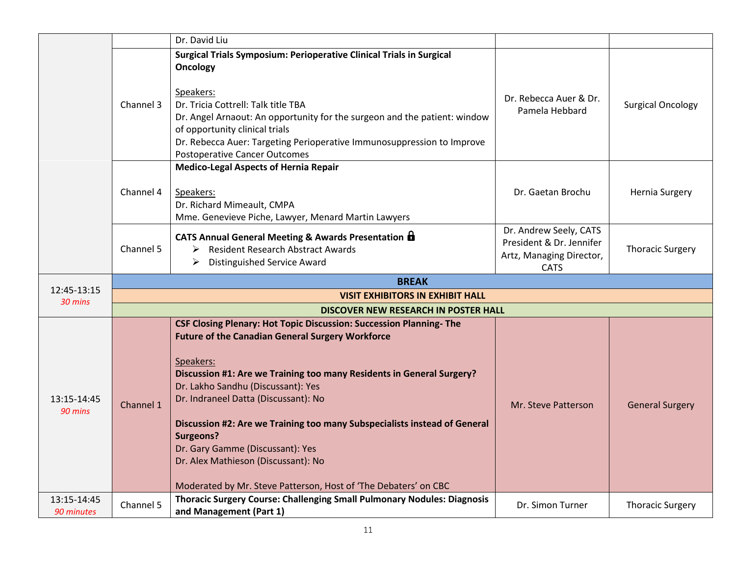|                        |                                         | Dr. David Liu                                                                                                                                                                                                                                                                                                                                                                                                                                                                                                                                           |                                                                                               |                          |  |  |
|------------------------|-----------------------------------------|---------------------------------------------------------------------------------------------------------------------------------------------------------------------------------------------------------------------------------------------------------------------------------------------------------------------------------------------------------------------------------------------------------------------------------------------------------------------------------------------------------------------------------------------------------|-----------------------------------------------------------------------------------------------|--------------------------|--|--|
|                        | Channel 3                               | <b>Surgical Trials Symposium: Perioperative Clinical Trials in Surgical</b><br>Oncology<br>Speakers:<br>Dr. Tricia Cottrell: Talk title TBA<br>Dr. Angel Arnaout: An opportunity for the surgeon and the patient: window<br>of opportunity clinical trials<br>Dr. Rebecca Auer: Targeting Perioperative Immunosuppression to Improve<br><b>Postoperative Cancer Outcomes</b>                                                                                                                                                                            | Dr. Rebecca Auer & Dr.<br>Pamela Hebbard                                                      | <b>Surgical Oncology</b> |  |  |
|                        | Channel 4                               | <b>Medico-Legal Aspects of Hernia Repair</b><br>Speakers:<br>Dr. Richard Mimeault, CMPA<br>Mme. Genevieve Piche, Lawyer, Menard Martin Lawyers                                                                                                                                                                                                                                                                                                                                                                                                          | Dr. Gaetan Brochu                                                                             | <b>Hernia Surgery</b>    |  |  |
|                        | Channel 5                               | CATS Annual General Meeting & Awards Presentation <b>b</b><br>Resident Research Abstract Awards<br>➤<br><b>Distinguished Service Award</b><br>➤                                                                                                                                                                                                                                                                                                                                                                                                         | Dr. Andrew Seely, CATS<br>President & Dr. Jennifer<br>Artz, Managing Director,<br><b>CATS</b> | <b>Thoracic Surgery</b>  |  |  |
| 12:45-13:15            | <b>BREAK</b>                            |                                                                                                                                                                                                                                                                                                                                                                                                                                                                                                                                                         |                                                                                               |                          |  |  |
| 30 mins                | <b>VISIT EXHIBITORS IN EXHIBIT HALL</b> |                                                                                                                                                                                                                                                                                                                                                                                                                                                                                                                                                         |                                                                                               |                          |  |  |
|                        | DISCOVER NEW RESEARCH IN POSTER HALL    |                                                                                                                                                                                                                                                                                                                                                                                                                                                                                                                                                         |                                                                                               |                          |  |  |
|                        |                                         |                                                                                                                                                                                                                                                                                                                                                                                                                                                                                                                                                         |                                                                                               |                          |  |  |
| 13:15-14:45<br>90 mins | Channel 1                               | <b>CSF Closing Plenary: Hot Topic Discussion: Succession Planning-The</b><br><b>Future of the Canadian General Surgery Workforce</b><br>Speakers:<br>Discussion #1: Are we Training too many Residents in General Surgery?<br>Dr. Lakho Sandhu (Discussant): Yes<br>Dr. Indraneel Datta (Discussant): No<br>Discussion #2: Are we Training too many Subspecialists instead of General<br><b>Surgeons?</b><br>Dr. Gary Gamme (Discussant): Yes<br>Dr. Alex Mathieson (Discussant): No<br>Moderated by Mr. Steve Patterson, Host of 'The Debaters' on CBC | Mr. Steve Patterson                                                                           | <b>General Surgery</b>   |  |  |